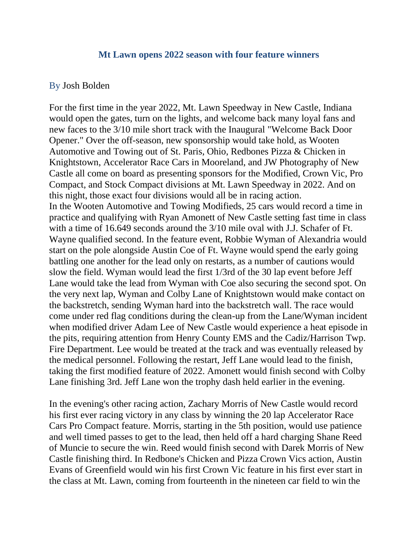## **Mt Lawn opens 2022 season with four feature winners**

## By Josh Bolden

For the first time in the year 2022, Mt. Lawn Speedway in New Castle, Indiana would open the gates, turn on the lights, and welcome back many loyal fans and new faces to the 3/10 mile short track with the Inaugural "Welcome Back Door Opener." Over the off-season, new sponsorship would take hold, as Wooten Automotive and Towing out of St. Paris, Ohio, Redbones Pizza & Chicken in Knightstown, Accelerator Race Cars in Mooreland, and JW Photography of New Castle all come on board as presenting sponsors for the Modified, Crown Vic, Pro Compact, and Stock Compact divisions at Mt. Lawn Speedway in 2022. And on this night, those exact four divisions would all be in racing action. In the Wooten Automotive and Towing Modifieds, 25 cars would record a time in practice and qualifying with Ryan Amonett of New Castle setting fast time in class with a time of 16.649 seconds around the 3/10 mile oval with J.J. Schafer of Ft. Wayne qualified second. In the feature event, Robbie Wyman of Alexandria would start on the pole alongside Austin Coe of Ft. Wayne would spend the early going battling one another for the lead only on restarts, as a number of cautions would slow the field. Wyman would lead the first 1/3rd of the 30 lap event before Jeff Lane would take the lead from Wyman with Coe also securing the second spot. On the very next lap, Wyman and Colby Lane of Knightstown would make contact on the backstretch, sending Wyman hard into the backstretch wall. The race would come under red flag conditions during the clean-up from the Lane/Wyman incident when modified driver Adam Lee of New Castle would experience a heat episode in the pits, requiring attention from Henry County EMS and the Cadiz/Harrison Twp. Fire Department. Lee would be treated at the track and was eventually released by the medical personnel. Following the restart, Jeff Lane would lead to the finish, taking the first modified feature of 2022. Amonett would finish second with Colby Lane finishing 3rd. Jeff Lane won the trophy dash held earlier in the evening.

In the evening's other racing action, Zachary Morris of New Castle would record his first ever racing victory in any class by winning the 20 lap Accelerator Race Cars Pro Compact feature. Morris, starting in the 5th position, would use patience and well timed passes to get to the lead, then held off a hard charging Shane Reed of Muncie to secure the win. Reed would finish second with Darek Morris of New Castle finishing third. In Redbone's Chicken and Pizza Crown Vics action, Austin Evans of Greenfield would win his first Crown Vic feature in his first ever start in the class at Mt. Lawn, coming from fourteenth in the nineteen car field to win the